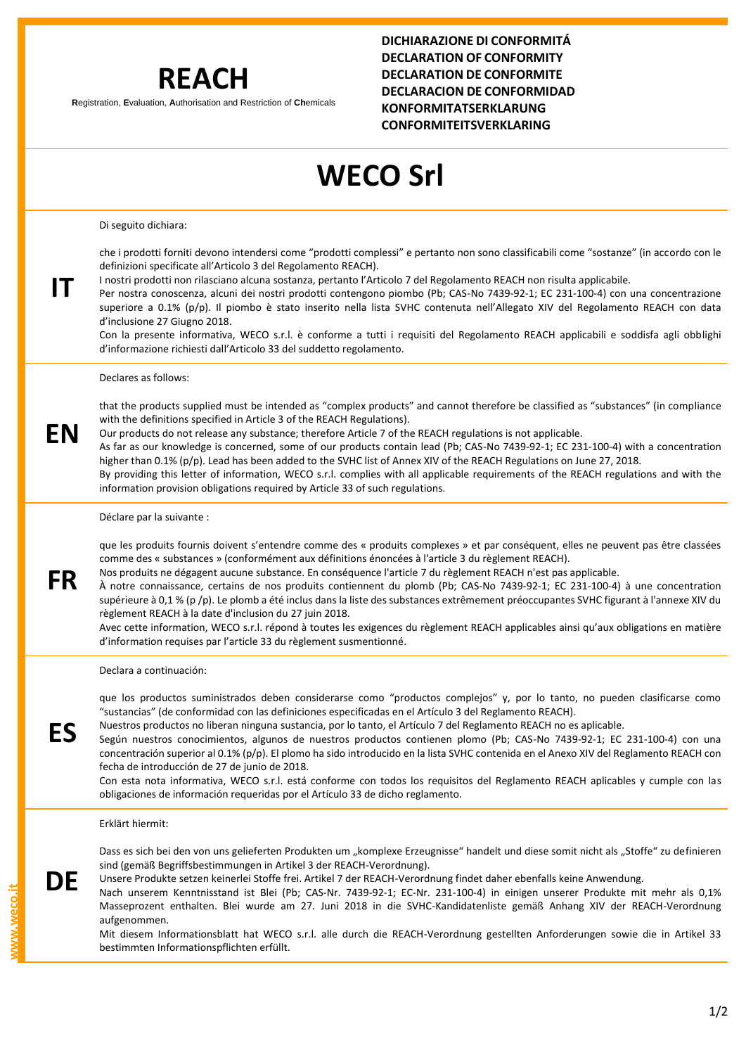## **REACH**

**R**egistration, **E**valuation, **A**uthorisation and Restriction of **Ch**emicals

**DICHIARAZIONE DI CONFORMITÁ DECLARATION OF CONFORMITY DECLARATION DE CONFORMITE DECLARACION DE CONFORMIDAD KONFORMITATSERKLARUNG CONFORMITEITSVERKLARING**

## **WECO Srl**

Di seguito dichiara:

**IT**

**EN**

**FR**

**ES**

che i prodotti forniti devono intendersi come "prodotti complessi" e pertanto non sono classificabili come "sostanze" (in accordo con le definizioni specificate all'Articolo 3 del Regolamento REACH).

I nostri prodotti non rilasciano alcuna sostanza, pertanto l'Articolo 7 del Regolamento REACH non risulta applicabile.

Per nostra conoscenza, alcuni dei nostri prodotti contengono piombo (Pb; CAS-No 7439-92-1; EC 231-100-4) con una concentrazione superiore a 0.1% (p/p). Il piombo è stato inserito nella lista SVHC contenuta nell'Allegato XIV del Regolamento REACH con data d'inclusione 27 Giugno 2018.

Con la presente informativa, WECO s.r.l. è conforme a tutti i requisiti del Regolamento REACH applicabili e soddisfa agli obblighi d'informazione richiesti dall'Articolo 33 del suddetto regolamento.

Declares as follows:

that the products supplied must be intended as "complex products" and cannot therefore be classified as "substances" (in compliance with the definitions specified in Article 3 of the REACH Regulations).

Our products do not release any substance; therefore Article 7 of the REACH regulations is not applicable.

As far as our knowledge is concerned, some of our products contain lead (Pb; CAS-No 7439-92-1; EC 231-100-4) with a concentration higher than 0.1% (p/p). Lead has been added to the SVHC list of Annex XIV of the REACH Regulations on June 27, 2018.

By providing this letter of information, WECO s.r.l. complies with all applicable requirements of the REACH regulations and with the information provision obligations required by Article 33 of such regulations.

Déclare par la suivante :

que les produits fournis doivent s'entendre comme des « produits complexes » et par conséquent, elles ne peuvent pas être classées comme des « substances » (conformément aux définitions énoncées à l'article 3 du règlement REACH).

Nos produits ne dégagent aucune substance. En conséquence l'article 7 du règlement REACH n'est pas applicable.

À notre connaissance, certains de nos produits contiennent du plomb (Pb; CAS-No 7439-92-1; EC 231-100-4) à une concentration supérieure à 0,1 % (p /p). Le plomb a été inclus dans la liste des substances extrêmement préoccupantes SVHC figurant à l'annexe XIV du règlement REACH à la date d'inclusion du 27 juin 2018.

Avec cette information, WECO s.r.l. répond à toutes les exigences du règlement REACH applicables ainsi qu'aux obligations en matière d'information requises par l'article 33 du règlement susmentionné.

Declara a continuación:

que los productos suministrados deben considerarse como "productos complejos" y, por lo tanto, no pueden clasificarse como "sustancias" (de conformidad con las definiciones especificadas en el Artículo 3 del Reglamento REACH).

Nuestros productos no liberan ninguna sustancia, por lo tanto, el Artículo 7 del Reglamento REACH no es aplicable.

Según nuestros conocimientos, algunos de nuestros productos contienen plomo (Pb; CAS-No 7439-92-1; EC 231-100-4) con una concentración superior al 0.1% (p/p). El plomo ha sido introducido en la lista SVHC contenida en el Anexo XIV del Reglamento REACH con fecha de introducción de 27 de junio de 2018.

Con esta nota informativa, WECO s.r.l. está conforme con todos los requisitos del Reglamento REACH aplicables y cumple con las obligaciones de información requeridas por el Artículo 33 de dicho reglamento.

Erklärt hiermit:

Dass es sich bei den von uns gelieferten Produkten um "komplexe Erzeugnisse" handelt und diese somit nicht als "Stoffe" zu definieren sind (gemäß Begriffsbestimmungen in Artikel 3 der REACH-Verordnung).

**DE** Unsere Produkte setzen keinerlei Stoffe frei. Artikel 7 der REACH-Verordnung findet daher ebenfalls keine Anwendung.

Nach unserem Kenntnisstand ist Blei (Pb; CAS-Nr. 7439-92-1; EC-Nr. 231-100-4) in einigen unserer Produkte mit mehr als 0,1% Masseprozent enthalten. Blei wurde am 27. Juni 2018 in die SVHC-Kandidatenliste gemäß Anhang XIV der REACH-Verordnung aufgenommen.

Mit diesem Informationsblatt hat WECO s.r.l. alle durch die REACH-Verordnung gestellten Anforderungen sowie die in Artikel 33 bestimmten Informationspflichten erfüllt.